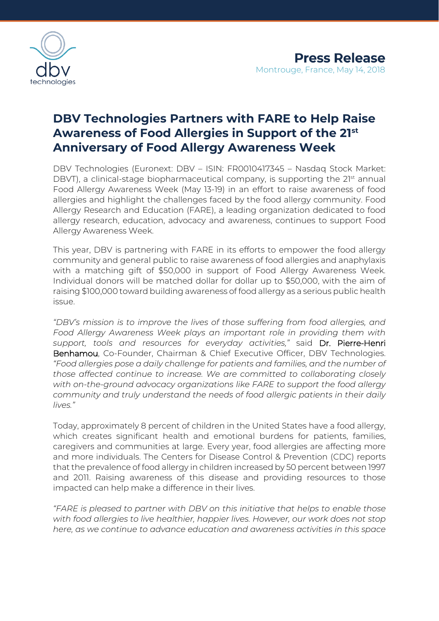

# **DBV Technologies Partners with FARE to Help Raise Awareness of Food Allergies in Support of the 21st Anniversary of Food Allergy Awareness Week**

DBV Technologies (Euronext: DBV – ISIN: FR0010417345 – Nasdaq Stock Market: DBVT), a clinical-stage biopharmaceutical company, is supporting the 21<sup>st</sup> annual Food Allergy Awareness Week (May 13-19) in an effort to raise awareness of food allergies and highlight the challenges faced by the food allergy community. Food Allergy Research and Education (FARE), a leading organization dedicated to food allergy research, education, advocacy and awareness, continues to support Food Allergy Awareness Week.

This year, DBV is partnering with FARE in its efforts to empower the food allergy community and general public to raise awareness of food allergies and anaphylaxis with a matching gift of \$50,000 in support of Food Allergy Awareness Week. Individual donors will be matched dollar for dollar up to \$50,000, with the aim of raising \$100,000 toward building awareness of food allergy as a serious public health issue.

*"DBV's mission is to improve the lives of those suffering from food allergies, and Food Allergy Awareness Week plays an important role in providing them with support, tools and resources for everyday activities,"* said Dr. Pierre-Henri Benhamou, Co-Founder, Chairman & Chief Executive Officer, DBV Technologies. *"Food allergies pose a daily challenge for patients and families, and the number of those affected continue to increase. We are committed to collaborating closely with on-the-ground advocacy organizations like FARE to support the food allergy community and truly understand the needs of food allergic patients in their daily lives."*

Today, approximately 8 percent of children in the United States have a food allergy, which creates significant health and emotional burdens for patients, families, caregivers and communities at large. Every year, food allergies are affecting more and more individuals. The Centers for Disease Control & Prevention (CDC) reports that the prevalence of food allergy in children increased by 50 percent between 1997 and 2011. Raising awareness of this disease and providing resources to those impacted can help make a difference in their lives.

*"FARE is pleased to partner with DBV on this initiative that helps to enable those with food allergies to live healthier, happier lives. However, our work does not stop here, as we continue to advance education and awareness activities in this space*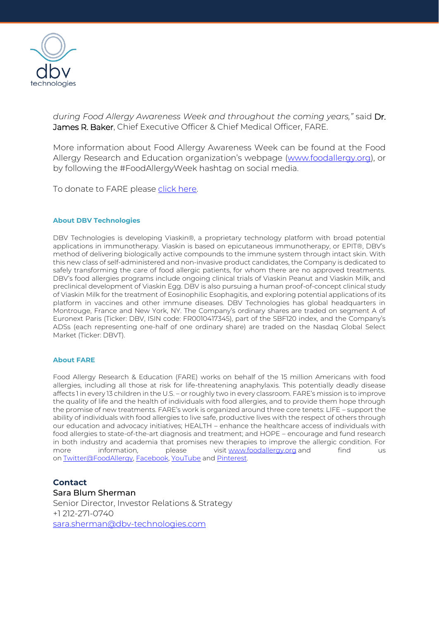

*during Food Allergy Awareness Week and throughout the coming years,"* said Dr. James R. Baker, Chief Executive Officer & Chief Medical Officer, FARE.

More information about Food Allergy Awareness Week can be found at the Food Allergy Research and Education organization's [webpage](https://www.foodallergy.org/education-awareness/food-allergy-awareness-week) [\(www.foodallergy.org\)](https://www.foodallergy.org/), or by following the #FoodAllergyWeek hashtag on social media.

To donate to FARE please [click here.](https://secure2.convio.net/fare/site/Donation2?df_id=1500&mfc_pref=T&1500.donation=form1)

#### **About DBV Technologies**

DBV Technologies is developing Viaskin®, a proprietary technology platform with broad potential applications in immunotherapy. Viaskin is based on epicutaneous immunotherapy, or EPIT®, DBV's method of delivering biologically active compounds to the immune system through intact skin. With this new class of self-administered and non-invasive product candidates, the Company is dedicated to safely transforming the care of food allergic patients, for whom there are no approved treatments. DBV's food allergies programs include ongoing clinical trials of Viaskin Peanut and Viaskin Milk, and preclinical development of Viaskin Egg. DBV is also pursuing a human proof-of-concept clinical study of Viaskin Milk for the treatment of Eosinophilic Esophagitis, and exploring potential applications of its platform in vaccines and other immune diseases. DBV Technologies has global headquarters in Montrouge, France and New York, NY. The Company's ordinary shares are traded on segment A of Euronext Paris (Ticker: DBV, ISIN code: FR0010417345), part of the SBF120 index, and the Company's ADSs (each representing one-half of one ordinary share) are traded on the Nasdaq Global Select Market (Ticker: DBVT).

#### **About FARE**

Food Allergy Research & Education (FARE) works on behalf of the 15 million Americans with food allergies, including all those at risk for life-threatening anaphylaxis. This potentially deadly disease affects 1 in every 13 children in the U.S. – or roughly two in every classroom. FARE's mission is to improve the quality of life and the health of individuals with food allergies, and to provide them hope through the promise of new treatments. FARE's work is organized around three core tenets: LIFE – support the ability of individuals with food allergies to live safe, productive lives with the respect of others through our education and advocacy initiatives; HEALTH – enhance the healthcare access of individuals with food allergies to state-of-the-art diagnosis and treatment; and HOPE – encourage and fund research in both industry and academia that promises new therapies to improve the allergic condition. For more information, please visit [www.foodallergy.org](https://www.foodallergy.org/) and find us on [Twitter@FoodAllergy,](http://twitter.com/foodallergy) [Facebook,](http://facebook.com/FoodAllergyFARE) [YouTube](http://youtube.com/faanpal) and [Pinterest.](http://pinterest.com/foodallergyfare) 

### **Contact**

Sara Blum Sherman Senior Director, Investor Relations & Strategy +1 212-271-0740 [sara.sherman@dbv-technologies.com](mailto:sara.sherman@dbv-technologies.com)